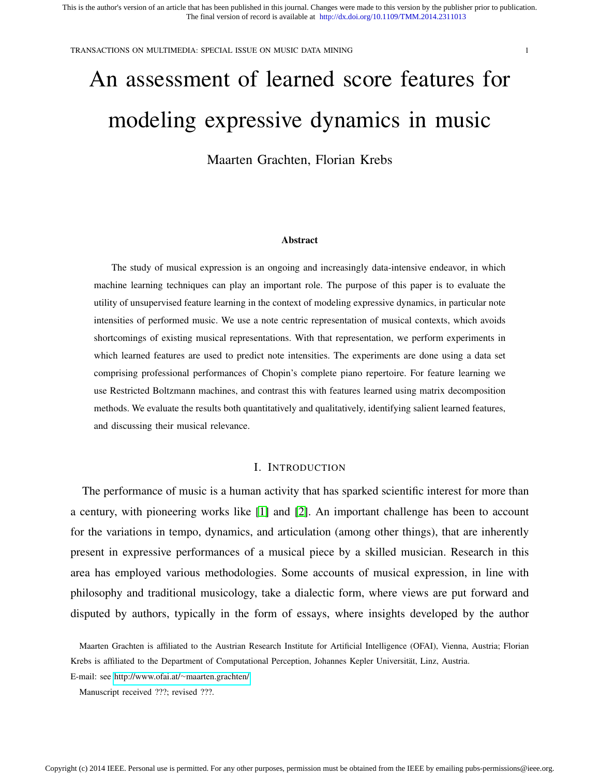TRANSACTIONS ON MULTIMEDIA: SPECIAL ISSUE ON MUSIC DATA MINING 1

# An assessment of learned score features for modeling expressive dynamics in music

Maarten Grachten, Florian Krebs

#### Abstract

The study of musical expression is an ongoing and increasingly data-intensive endeavor, in which machine learning techniques can play an important role. The purpose of this paper is to evaluate the utility of unsupervised feature learning in the context of modeling expressive dynamics, in particular note intensities of performed music. We use a note centric representation of musical contexts, which avoids shortcomings of existing musical representations. With that representation, we perform experiments in which learned features are used to predict note intensities. The experiments are done using a data set comprising professional performances of Chopin's complete piano repertoire. For feature learning we use Restricted Boltzmann machines, and contrast this with features learned using matrix decomposition methods. We evaluate the results both quantitatively and qualitatively, identifying salient learned features, and discussing their musical relevance.

## I. INTRODUCTION

The performance of music is a human activity that has sparked scientific interest for more than a century, with pioneering works like [1] and [2]. An important challenge has been to account for the variations in tempo, dynamics, and articulation (among other things), that are inherently present in expressive performances of a musical piece by a skilled musician. Research in this area has employed various methodologies. Some accounts of musical expression, in line with philosophy and traditional musicology, take a dialectic form, where views are put forward and disputed by authors, typically in the form of essays, where insights developed by the author

Maarten Grachten is affiliated to the Austrian Research Institute for Artificial Intelligence (OFAI), Vienna, Austria; Florian Krebs is affiliated to the Department of Computational Perception, Johannes Kepler Universität, Linz, Austria.

E-mail: see [http://www.ofai.at/](http://www.ofai.at/~maarten.grachten/)∼maarten.grachten/

Manuscript received ???; revised ???.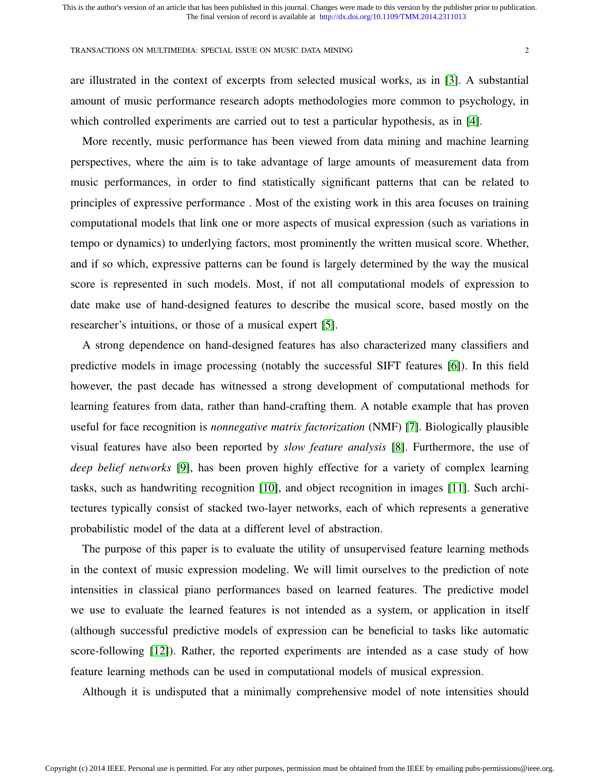are illustrated in the context of excerpts from selected musical works, as in [3]. A substantial amount of music performance research adopts methodologies more common to psychology, in which controlled experiments are carried out to test a particular hypothesis, as in [4].

More recently, music performance has been viewed from data mining and machine learning perspectives, where the aim is to take advantage of large amounts of measurement data from music performances, in order to find statistically significant patterns that can be related to principles of expressive performance . Most of the existing work in this area focuses on training computational models that link one or more aspects of musical expression (such as variations in tempo or dynamics) to underlying factors, most prominently the written musical score. Whether, and if so which, expressive patterns can be found is largely determined by the way the musical score is represented in such models. Most, if not all computational models of expression to date make use of hand-designed features to describe the musical score, based mostly on the researcher's intuitions, or those of a musical expert [5].

A strong dependence on hand-designed features has also characterized many classifiers and predictive models in image processing (notably the successful SIFT features [6]). In this field however, the past decade has witnessed a strong development of computational methods for learning features from data, rather than hand-crafting them. A notable example that has proven useful for face recognition is *nonnegative matrix factorization* (NMF) [7]. Biologically plausible visual features have also been reported by *slow feature analysis* [8]. Furthermore, the use of *deep belief networks* [9], has been proven highly effective for a variety of complex learning tasks, such as handwriting recognition [10], and object recognition in images [11]. Such architectures typically consist of stacked two-layer networks, each of which represents a generative probabilistic model of the data at a different level of abstraction.

The purpose of this paper is to evaluate the utility of unsupervised feature learning methods in the context of music expression modeling. We will limit ourselves to the prediction of note intensities in classical piano performances based on learned features. The predictive model we use to evaluate the learned features is not intended as a system, or application in itself (although successful predictive models of expression can be beneficial to tasks like automatic score-following [12]). Rather, the reported experiments are intended as a case study of how feature learning methods can be used in computational models of musical expression.

Although it is undisputed that a minimally comprehensive model of note intensities should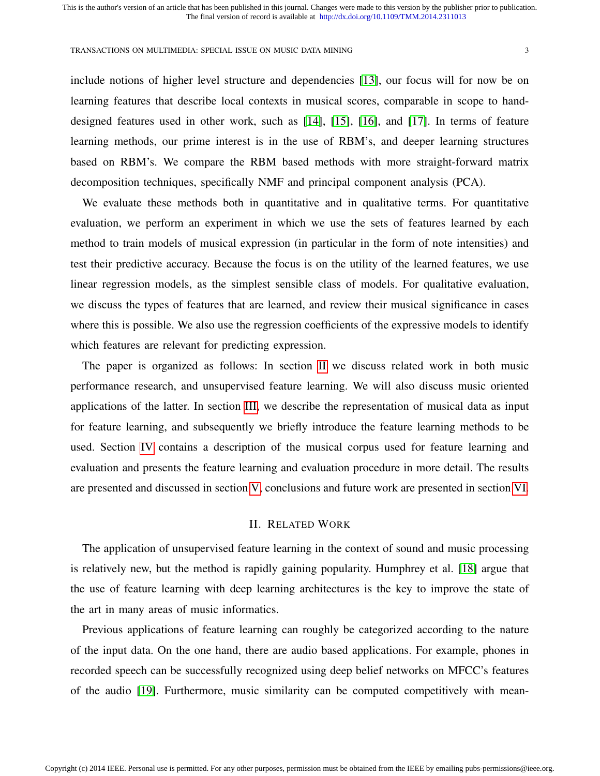include notions of higher level structure and dependencies [13], our focus will for now be on learning features that describe local contexts in musical scores, comparable in scope to handdesigned features used in other work, such as [14], [15], [16], and [17]. In terms of feature learning methods, our prime interest is in the use of RBM's, and deeper learning structures based on RBM's. We compare the RBM based methods with more straight-forward matrix decomposition techniques, specifically NMF and principal component analysis (PCA).

We evaluate these methods both in quantitative and in qualitative terms. For quantitative evaluation, we perform an experiment in which we use the sets of features learned by each method to train models of musical expression (in particular in the form of note intensities) and test their predictive accuracy. Because the focus is on the utility of the learned features, we use linear regression models, as the simplest sensible class of models. For qualitative evaluation, we discuss the types of features that are learned, and review their musical significance in cases where this is possible. We also use the regression coefficients of the expressive models to identify which features are relevant for predicting expression.

The paper is organized as follows: In section II we discuss related work in both music performance research, and unsupervised feature learning. We will also discuss music oriented applications of the latter. In section III, we describe the representation of musical data as input for feature learning, and subsequently we briefly introduce the feature learning methods to be used. Section IV contains a description of the musical corpus used for feature learning and evaluation and presents the feature learning and evaluation procedure in more detail. The results are presented and discussed in section V, conclusions and future work are presented in section VI.

## II. RELATED WORK

The application of unsupervised feature learning in the context of sound and music processing is relatively new, but the method is rapidly gaining popularity. Humphrey et al. [18] argue that the use of feature learning with deep learning architectures is the key to improve the state of the art in many areas of music informatics.

Previous applications of feature learning can roughly be categorized according to the nature of the input data. On the one hand, there are audio based applications. For example, phones in recorded speech can be successfully recognized using deep belief networks on MFCC's features of the audio [19]. Furthermore, music similarity can be computed competitively with mean-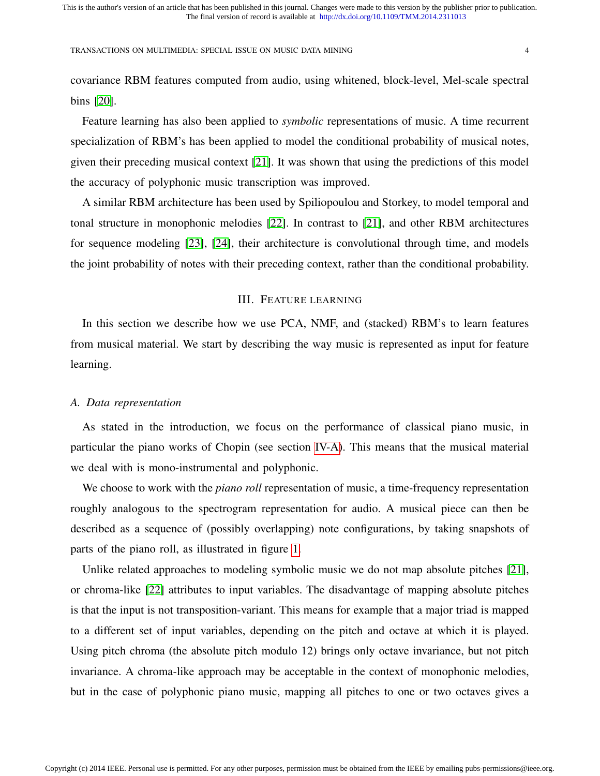covariance RBM features computed from audio, using whitened, block-level, Mel-scale spectral bins [20].

Feature learning has also been applied to *symbolic* representations of music. A time recurrent specialization of RBM's has been applied to model the conditional probability of musical notes, given their preceding musical context [21]. It was shown that using the predictions of this model the accuracy of polyphonic music transcription was improved.

A similar RBM architecture has been used by Spiliopoulou and Storkey, to model temporal and tonal structure in monophonic melodies [22]. In contrast to [21], and other RBM architectures for sequence modeling [23], [24], their architecture is convolutional through time, and models the joint probability of notes with their preceding context, rather than the conditional probability.

## III. FEATURE LEARNING

In this section we describe how we use PCA, NMF, and (stacked) RBM's to learn features from musical material. We start by describing the way music is represented as input for feature learning.

## *A. Data representation*

As stated in the introduction, we focus on the performance of classical piano music, in particular the piano works of Chopin (see section IV-A). This means that the musical material we deal with is mono-instrumental and polyphonic.

We choose to work with the *piano roll* representation of music, a time-frequency representation roughly analogous to the spectrogram representation for audio. A musical piece can then be described as a sequence of (possibly overlapping) note configurations, by taking snapshots of parts of the piano roll, as illustrated in figure 1.

Unlike related approaches to modeling symbolic music we do not map absolute pitches [21], or chroma-like [22] attributes to input variables. The disadvantage of mapping absolute pitches is that the input is not transposition-variant. This means for example that a major triad is mapped to a different set of input variables, depending on the pitch and octave at which it is played. Using pitch chroma (the absolute pitch modulo 12) brings only octave invariance, but not pitch invariance. A chroma-like approach may be acceptable in the context of monophonic melodies, but in the case of polyphonic piano music, mapping all pitches to one or two octaves gives a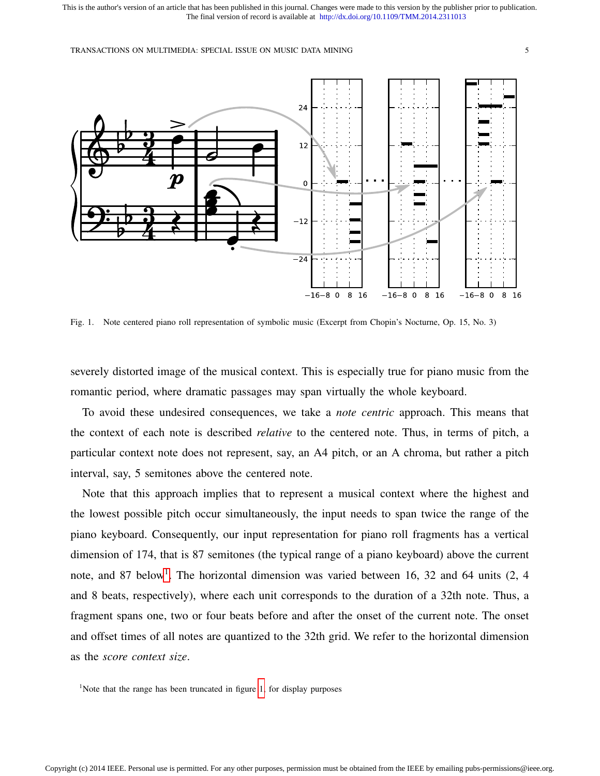TRANSACTIONS ON MULTIMEDIA: SPECIAL ISSUE ON MUSIC DATA MINING 5



Fig. 1. Note centered piano roll representation of symbolic music (Excerpt from Chopin's Nocturne, Op. 15, No. 3)

severely distorted image of the musical context. This is especially true for piano music from the romantic period, where dramatic passages may span virtually the whole keyboard.

To avoid these undesired consequences, we take a *note centric* approach. This means that the context of each note is described *relative* to the centered note. Thus, in terms of pitch, a particular context note does not represent, say, an A4 pitch, or an A chroma, but rather a pitch interval, say, 5 semitones above the centered note.

Note that this approach implies that to represent a musical context where the highest and the lowest possible pitch occur simultaneously, the input needs to span twice the range of the piano keyboard. Consequently, our input representation for piano roll fragments has a vertical dimension of 174, that is 87 semitones (the typical range of a piano keyboard) above the current note, and 87 below<sup>1</sup>. The horizontal dimension was varied between 16, 32 and 64 units (2, 4 and 8 beats, respectively), where each unit corresponds to the duration of a 32th note. Thus, a fragment spans one, two or four beats before and after the onset of the current note. The onset and offset times of all notes are quantized to the 32th grid. We refer to the horizontal dimension as the *score context size*.

<sup>1</sup>Note that the range has been truncated in figure 1, for display purposes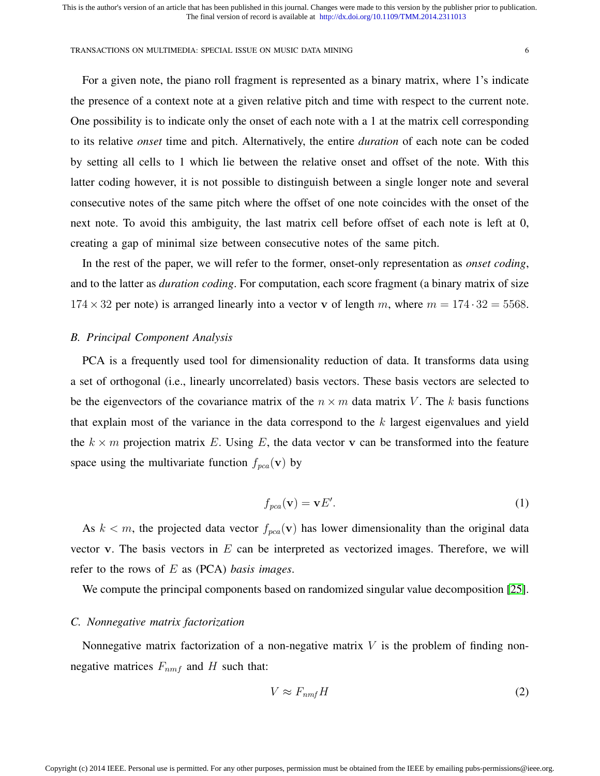For a given note, the piano roll fragment is represented as a binary matrix, where 1's indicate the presence of a context note at a given relative pitch and time with respect to the current note. One possibility is to indicate only the onset of each note with a 1 at the matrix cell corresponding to its relative *onset* time and pitch. Alternatively, the entire *duration* of each note can be coded by setting all cells to 1 which lie between the relative onset and offset of the note. With this latter coding however, it is not possible to distinguish between a single longer note and several consecutive notes of the same pitch where the offset of one note coincides with the onset of the next note. To avoid this ambiguity, the last matrix cell before offset of each note is left at 0, creating a gap of minimal size between consecutive notes of the same pitch.

In the rest of the paper, we will refer to the former, onset-only representation as *onset coding*, and to the latter as *duration coding*. For computation, each score fragment (a binary matrix of size  $174 \times 32$  per note) is arranged linearly into a vector v of length m, where  $m = 174 \cdot 32 = 5568$ .

## *B. Principal Component Analysis*

PCA is a frequently used tool for dimensionality reduction of data. It transforms data using a set of orthogonal (i.e., linearly uncorrelated) basis vectors. These basis vectors are selected to be the eigenvectors of the covariance matrix of the  $n \times m$  data matrix V. The k basis functions that explain most of the variance in the data correspond to the  $k$  largest eigenvalues and yield the  $k \times m$  projection matrix E. Using E, the data vector v can be transformed into the feature space using the multivariate function  $f_{pca}(\mathbf{v})$  by

$$
f_{pca}(\mathbf{v}) = \mathbf{v}E'.\tag{1}
$$

As  $k < m$ , the projected data vector  $f_{pca}(v)$  has lower dimensionality than the original data vector v. The basis vectors in  $E$  can be interpreted as vectorized images. Therefore, we will refer to the rows of E as (PCA) *basis images*.

We compute the principal components based on randomized singular value decomposition [25].

## *C. Nonnegative matrix factorization*

Nonnegative matrix factorization of a non-negative matrix  $V$  is the problem of finding nonnegative matrices  $F_{nmf}$  and H such that:

$$
V \approx F_{nmf}H\tag{2}
$$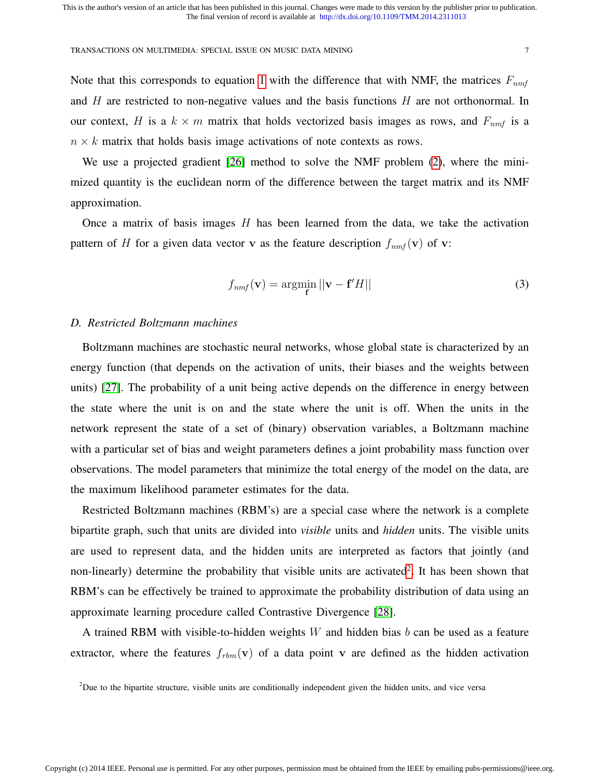Note that this corresponds to equation 1 with the difference that with NMF, the matrices  $F_{nmf}$ and  $H$  are restricted to non-negative values and the basis functions  $H$  are not orthonormal. In our context, H is a  $k \times m$  matrix that holds vectorized basis images as rows, and  $F_{nmt}$  is a  $n \times k$  matrix that holds basis image activations of note contexts as rows.

We use a projected gradient [26] method to solve the NMF problem (2), where the minimized quantity is the euclidean norm of the difference between the target matrix and its NMF approximation.

Once a matrix of basis images  $H$  has been learned from the data, we take the activation pattern of H for a given data vector v as the feature description  $f_{nmf}(\mathbf{v})$  of v:

$$
f_{nmf}(\mathbf{v}) = \underset{\mathbf{f}}{\operatorname{argmin}} \left| |\mathbf{v} - \mathbf{f}'H| \right| \tag{3}
$$

## *D. Restricted Boltzmann machines*

Boltzmann machines are stochastic neural networks, whose global state is characterized by an energy function (that depends on the activation of units, their biases and the weights between units) [27]. The probability of a unit being active depends on the difference in energy between the state where the unit is on and the state where the unit is off. When the units in the network represent the state of a set of (binary) observation variables, a Boltzmann machine with a particular set of bias and weight parameters defines a joint probability mass function over observations. The model parameters that minimize the total energy of the model on the data, are the maximum likelihood parameter estimates for the data.

Restricted Boltzmann machines (RBM's) are a special case where the network is a complete bipartite graph, such that units are divided into *visible* units and *hidden* units. The visible units are used to represent data, and the hidden units are interpreted as factors that jointly (and non-linearly) determine the probability that visible units are activated<sup>2</sup>. It has been shown that RBM's can be effectively be trained to approximate the probability distribution of data using an approximate learning procedure called Contrastive Divergence [28].

A trained RBM with visible-to-hidden weights  $W$  and hidden bias  $b$  can be used as a feature extractor, where the features  $f_{rbm}(\mathbf{v})$  of a data point v are defined as the hidden activation

 $2$ Due to the bipartite structure, visible units are conditionally independent given the hidden units, and vice versa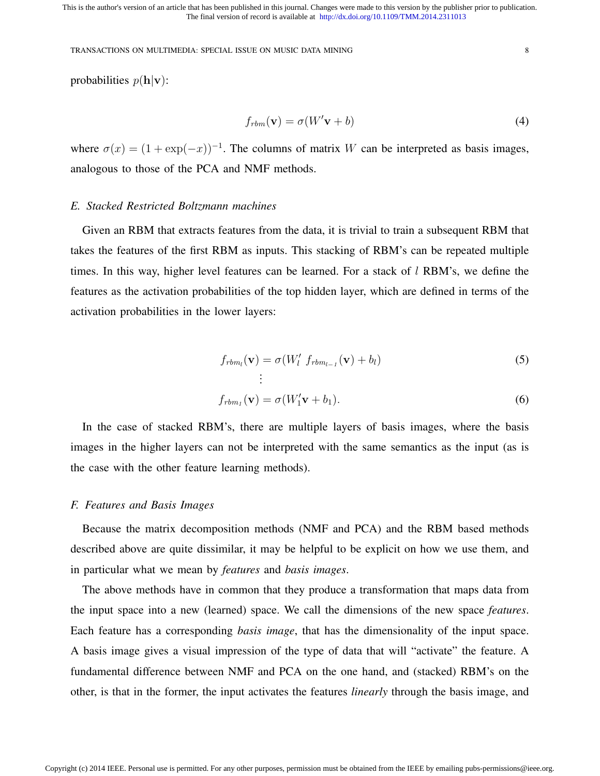TRANSACTIONS ON MULTIMEDIA: SPECIAL ISSUE ON MUSIC DATA MINING 8

probabilities  $p(\mathbf{h}|\mathbf{v})$ :

$$
f_{rbm}(\mathbf{v}) = \sigma(W'\mathbf{v} + b)
$$
\n(4)

where  $\sigma(x) = (1 + \exp(-x))^{-1}$ . The columns of matrix W can be interpreted as basis images, analogous to those of the PCA and NMF methods.

## *E. Stacked Restricted Boltzmann machines*

Given an RBM that extracts features from the data, it is trivial to train a subsequent RBM that takes the features of the first RBM as inputs. This stacking of RBM's can be repeated multiple times. In this way, higher level features can be learned. For a stack of  $l$  RBM's, we define the features as the activation probabilities of the top hidden layer, which are defined in terms of the activation probabilities in the lower layers:

$$
f_{rbm_l}(\mathbf{v}) = \sigma(W_l' \ f_{rbm_{l-1}}(\mathbf{v}) + b_l)
$$
\n
$$
\vdots
$$
\n(5)

$$
f_{rbm_1}(\mathbf{v}) = \sigma(W_1'\mathbf{v} + b_1). \tag{6}
$$

In the case of stacked RBM's, there are multiple layers of basis images, where the basis images in the higher layers can not be interpreted with the same semantics as the input (as is the case with the other feature learning methods).

## *F. Features and Basis Images*

Because the matrix decomposition methods (NMF and PCA) and the RBM based methods described above are quite dissimilar, it may be helpful to be explicit on how we use them, and in particular what we mean by *features* and *basis images*.

The above methods have in common that they produce a transformation that maps data from the input space into a new (learned) space. We call the dimensions of the new space *features*. Each feature has a corresponding *basis image*, that has the dimensionality of the input space. A basis image gives a visual impression of the type of data that will "activate" the feature. A fundamental difference between NMF and PCA on the one hand, and (stacked) RBM's on the other, is that in the former, the input activates the features *linearly* through the basis image, and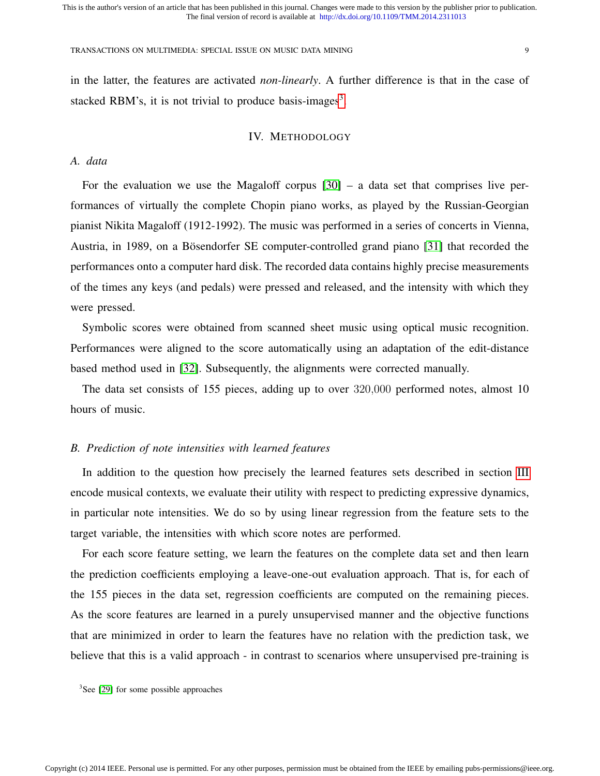#### TRANSACTIONS ON MULTIMEDIA: SPECIAL ISSUE ON MUSIC DATA MINING 9

in the latter, the features are activated *non-linearly*. A further difference is that in the case of stacked RBM's, it is not trivial to produce basis-images<sup>3</sup>.

## IV. METHODOLOGY

# *A. data*

For the evaluation we use the Magaloff corpus  $[30]$  – a data set that comprises live performances of virtually the complete Chopin piano works, as played by the Russian-Georgian pianist Nikita Magaloff (1912-1992). The music was performed in a series of concerts in Vienna, Austria, in 1989, on a Bösendorfer SE computer-controlled grand piano [31] that recorded the performances onto a computer hard disk. The recorded data contains highly precise measurements of the times any keys (and pedals) were pressed and released, and the intensity with which they were pressed.

Symbolic scores were obtained from scanned sheet music using optical music recognition. Performances were aligned to the score automatically using an adaptation of the edit-distance based method used in [32]. Subsequently, the alignments were corrected manually.

The data set consists of 155 pieces, adding up to over 320,000 performed notes, almost 10 hours of music.

# *B. Prediction of note intensities with learned features*

In addition to the question how precisely the learned features sets described in section III encode musical contexts, we evaluate their utility with respect to predicting expressive dynamics, in particular note intensities. We do so by using linear regression from the feature sets to the target variable, the intensities with which score notes are performed.

For each score feature setting, we learn the features on the complete data set and then learn the prediction coefficients employing a leave-one-out evaluation approach. That is, for each of the 155 pieces in the data set, regression coefficients are computed on the remaining pieces. As the score features are learned in a purely unsupervised manner and the objective functions that are minimized in order to learn the features have no relation with the prediction task, we believe that this is a valid approach - in contrast to scenarios where unsupervised pre-training is

<sup>3</sup>See [29] for some possible approaches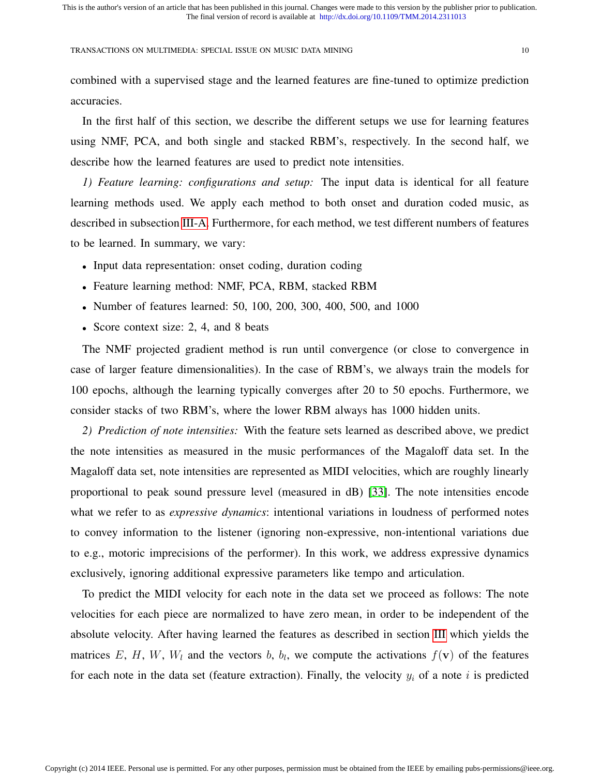combined with a supervised stage and the learned features are fine-tuned to optimize prediction accuracies.

In the first half of this section, we describe the different setups we use for learning features using NMF, PCA, and both single and stacked RBM's, respectively. In the second half, we describe how the learned features are used to predict note intensities.

*1) Feature learning: configurations and setup:* The input data is identical for all feature learning methods used. We apply each method to both onset and duration coded music, as described in subsection III-A. Furthermore, for each method, we test different numbers of features to be learned. In summary, we vary:

- Input data representation: onset coding, duration coding
- Feature learning method: NMF, PCA, RBM, stacked RBM
- Number of features learned: 50, 100, 200, 300, 400, 500, and 1000
- Score context size: 2, 4, and 8 beats

The NMF projected gradient method is run until convergence (or close to convergence in case of larger feature dimensionalities). In the case of RBM's, we always train the models for 100 epochs, although the learning typically converges after 20 to 50 epochs. Furthermore, we consider stacks of two RBM's, where the lower RBM always has 1000 hidden units.

*2) Prediction of note intensities:* With the feature sets learned as described above, we predict the note intensities as measured in the music performances of the Magaloff data set. In the Magaloff data set, note intensities are represented as MIDI velocities, which are roughly linearly proportional to peak sound pressure level (measured in dB) [33]. The note intensities encode what we refer to as *expressive dynamics*: intentional variations in loudness of performed notes to convey information to the listener (ignoring non-expressive, non-intentional variations due to e.g., motoric imprecisions of the performer). In this work, we address expressive dynamics exclusively, ignoring additional expressive parameters like tempo and articulation.

To predict the MIDI velocity for each note in the data set we proceed as follows: The note velocities for each piece are normalized to have zero mean, in order to be independent of the absolute velocity. After having learned the features as described in section III which yields the matrices E, H, W,  $W_l$  and the vectors b,  $b_l$ , we compute the activations  $f(\mathbf{v})$  of the features for each note in the data set (feature extraction). Finally, the velocity  $y_i$  of a note i is predicted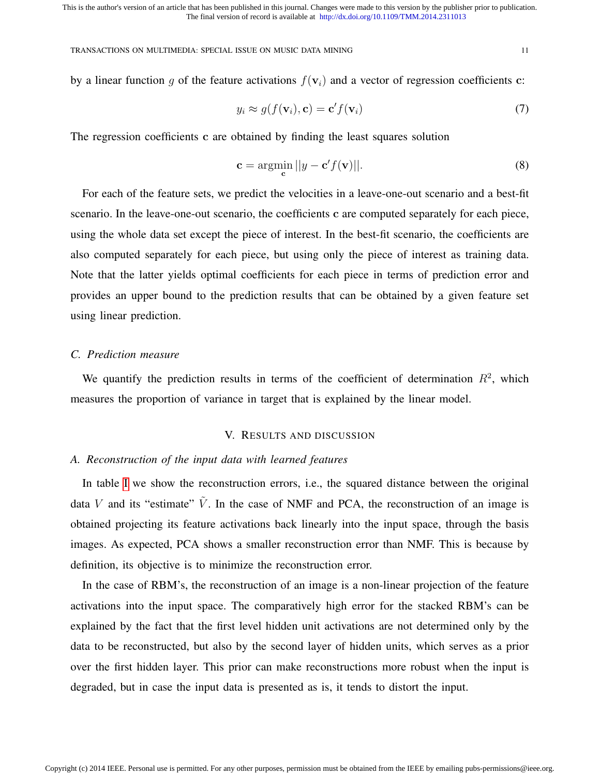TRANSACTIONS ON MULTIMEDIA: SPECIAL ISSUE ON MUSIC DATA MINING 11

by a linear function q of the feature activations  $f(\mathbf{v}_i)$  and a vector of regression coefficients c:

$$
y_i \approx g(f(\mathbf{v}_i), \mathbf{c}) = \mathbf{c}' f(\mathbf{v}_i)
$$
\n(7)

The regression coefficients c are obtained by finding the least squares solution

$$
\mathbf{c} = \underset{\mathbf{c}}{\operatorname{argmin}} \, ||y - \mathbf{c}'f(\mathbf{v})||. \tag{8}
$$

For each of the feature sets, we predict the velocities in a leave-one-out scenario and a best-fit scenario. In the leave-one-out scenario, the coefficients c are computed separately for each piece, using the whole data set except the piece of interest. In the best-fit scenario, the coefficients are also computed separately for each piece, but using only the piece of interest as training data. Note that the latter yields optimal coefficients for each piece in terms of prediction error and provides an upper bound to the prediction results that can be obtained by a given feature set using linear prediction.

## *C. Prediction measure*

We quantify the prediction results in terms of the coefficient of determination  $R^2$ , which measures the proportion of variance in target that is explained by the linear model.

## V. RESULTS AND DISCUSSION

## *A. Reconstruction of the input data with learned features*

In table I we show the reconstruction errors, i.e., the squared distance between the original data V and its "estimate"  $\tilde{V}$ . In the case of NMF and PCA, the reconstruction of an image is obtained projecting its feature activations back linearly into the input space, through the basis images. As expected, PCA shows a smaller reconstruction error than NMF. This is because by definition, its objective is to minimize the reconstruction error.

In the case of RBM's, the reconstruction of an image is a non-linear projection of the feature activations into the input space. The comparatively high error for the stacked RBM's can be explained by the fact that the first level hidden unit activations are not determined only by the data to be reconstructed, but also by the second layer of hidden units, which serves as a prior over the first hidden layer. This prior can make reconstructions more robust when the input is degraded, but in case the input data is presented as is, it tends to distort the input.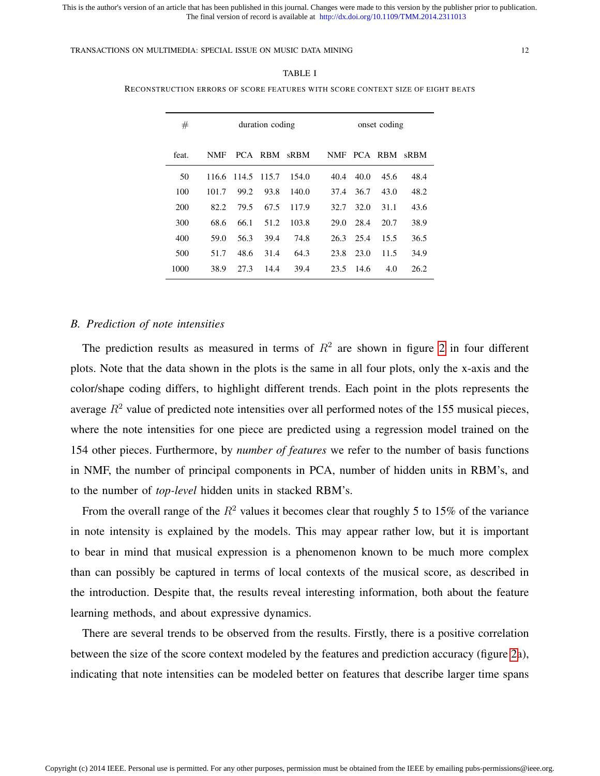TRANSACTIONS ON MULTIMEDIA: SPECIAL ISSUE ON MUSIC DATA MINING 12

| #     | duration coding |       |         |       | onset coding |      |         |      |
|-------|-----------------|-------|---------|-------|--------------|------|---------|------|
| feat. | <b>NMF</b>      |       | PCA RBM | sRBM  | NMF          |      | PCA RBM | sRBM |
| 50    | 116.6           | 114.5 | 115.7   | 154.0 | 40.4         | 40.0 | 45.6    | 48.4 |
| 100   | 101.7           | 99.2  | 93.8    | 140.0 | 37.4         | 36.7 | 43.0    | 48.2 |
| 200   | 82.2            | 79.5  | 67.5    | 117.9 | 32.7         | 32.O | 31.1    | 43.6 |
| 300   | 68.6            | 66.1  | 51.2    | 103.8 | 29.0         | 28.4 | 20.7    | 38.9 |
| 400   | 59.0            | 56.3  | 39.4    | 74.8  | 26.3         | 25.4 | 15.5    | 36.5 |
| 500   | 51.7            | 48.6  | 31.4    | 64.3  | 23.8         | 23.0 | 11.5    | 34.9 |
| 1000  | 38.9            | 27.3  | 14.4    | 39.4  | 23.5         | 14.6 | 4.0     | 26.2 |

#### TABLE I

RECONSTRUCTION ERRORS OF SCORE FEATURES WITH SCORE CONTEXT SIZE OF EIGHT BEATS

## *B. Prediction of note intensities*

The prediction results as measured in terms of  $R^2$  are shown in figure 2 in four different plots. Note that the data shown in the plots is the same in all four plots, only the x-axis and the color/shape coding differs, to highlight different trends. Each point in the plots represents the average  $R^2$  value of predicted note intensities over all performed notes of the 155 musical pieces, where the note intensities for one piece are predicted using a regression model trained on the 154 other pieces. Furthermore, by *number of features* we refer to the number of basis functions in NMF, the number of principal components in PCA, number of hidden units in RBM's, and to the number of *top-level* hidden units in stacked RBM's.

From the overall range of the  $R^2$  values it becomes clear that roughly 5 to 15% of the variance in note intensity is explained by the models. This may appear rather low, but it is important to bear in mind that musical expression is a phenomenon known to be much more complex than can possibly be captured in terms of local contexts of the musical score, as described in the introduction. Despite that, the results reveal interesting information, both about the feature learning methods, and about expressive dynamics.

There are several trends to be observed from the results. Firstly, there is a positive correlation between the size of the score context modeled by the features and prediction accuracy (figure 2a), indicating that note intensities can be modeled better on features that describe larger time spans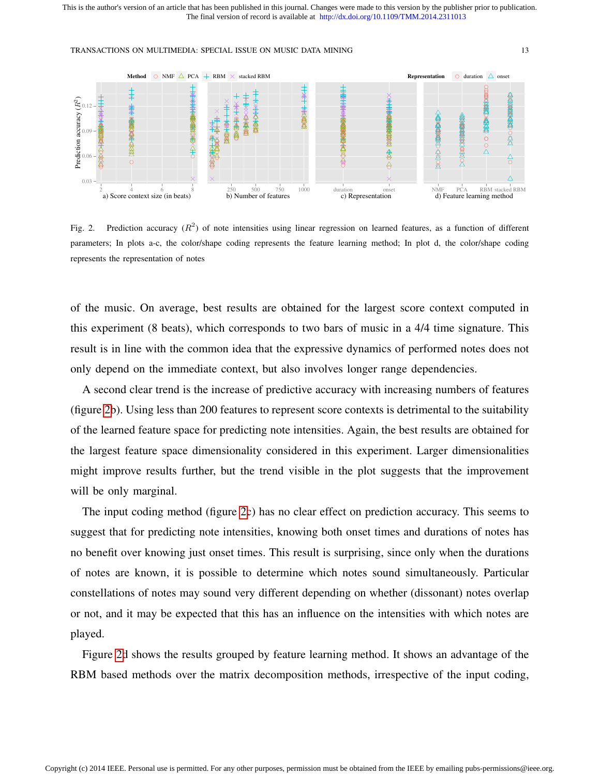

Fig. 2. Prediction accuracy  $(R^2)$  of note intensities using linear regression on learned features, as a function of different parameters; In plots a-c, the color/shape coding represents the feature learning method; In plot d, the color/shape coding represents the representation of notes

of the music. On average, best results are obtained for the largest score context computed in this experiment (8 beats), which corresponds to two bars of music in a 4/4 time signature. This result is in line with the common idea that the expressive dynamics of performed notes does not only depend on the immediate context, but also involves longer range dependencies.

A second clear trend is the increase of predictive accuracy with increasing numbers of features (figure 2b). Using less than 200 features to represent score contexts is detrimental to the suitability of the learned feature space for predicting note intensities. Again, the best results are obtained for the largest feature space dimensionality considered in this experiment. Larger dimensionalities might improve results further, but the trend visible in the plot suggests that the improvement will be only marginal.

The input coding method (figure 2c) has no clear effect on prediction accuracy. This seems to suggest that for predicting note intensities, knowing both onset times and durations of notes has no benefit over knowing just onset times. This result is surprising, since only when the durations of notes are known, it is possible to determine which notes sound simultaneously. Particular constellations of notes may sound very different depending on whether (dissonant) notes overlap or not, and it may be expected that this has an influence on the intensities with which notes are played.

Figure 2d shows the results grouped by feature learning method. It shows an advantage of the RBM based methods over the matrix decomposition methods, irrespective of the input coding,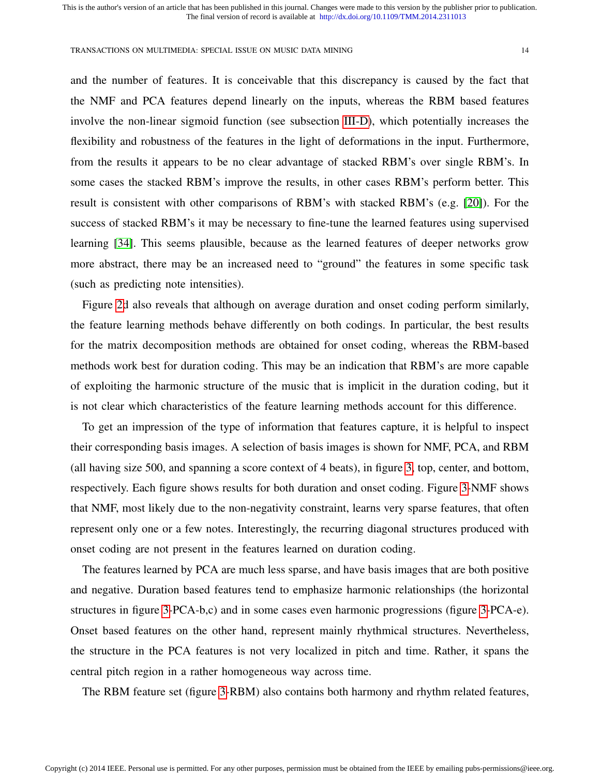and the number of features. It is conceivable that this discrepancy is caused by the fact that the NMF and PCA features depend linearly on the inputs, whereas the RBM based features involve the non-linear sigmoid function (see subsection III-D), which potentially increases the flexibility and robustness of the features in the light of deformations in the input. Furthermore, from the results it appears to be no clear advantage of stacked RBM's over single RBM's. In some cases the stacked RBM's improve the results, in other cases RBM's perform better. This result is consistent with other comparisons of RBM's with stacked RBM's (e.g. [20]). For the success of stacked RBM's it may be necessary to fine-tune the learned features using supervised learning [34]. This seems plausible, because as the learned features of deeper networks grow more abstract, there may be an increased need to "ground" the features in some specific task (such as predicting note intensities).

Figure 2d also reveals that although on average duration and onset coding perform similarly, the feature learning methods behave differently on both codings. In particular, the best results for the matrix decomposition methods are obtained for onset coding, whereas the RBM-based methods work best for duration coding. This may be an indication that RBM's are more capable of exploiting the harmonic structure of the music that is implicit in the duration coding, but it is not clear which characteristics of the feature learning methods account for this difference.

To get an impression of the type of information that features capture, it is helpful to inspect their corresponding basis images. A selection of basis images is shown for NMF, PCA, and RBM (all having size 500, and spanning a score context of 4 beats), in figure 3, top, center, and bottom, respectively. Each figure shows results for both duration and onset coding. Figure 3-NMF shows that NMF, most likely due to the non-negativity constraint, learns very sparse features, that often represent only one or a few notes. Interestingly, the recurring diagonal structures produced with onset coding are not present in the features learned on duration coding.

The features learned by PCA are much less sparse, and have basis images that are both positive and negative. Duration based features tend to emphasize harmonic relationships (the horizontal structures in figure 3-PCA-b,c) and in some cases even harmonic progressions (figure 3-PCA-e). Onset based features on the other hand, represent mainly rhythmical structures. Nevertheless, the structure in the PCA features is not very localized in pitch and time. Rather, it spans the central pitch region in a rather homogeneous way across time.

The RBM feature set (figure 3-RBM) also contains both harmony and rhythm related features,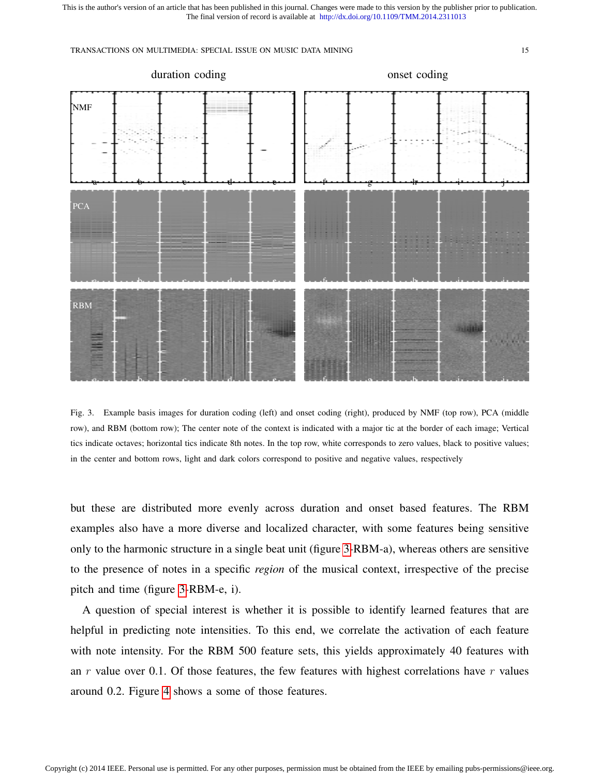

Fig. 3. Example basis images for duration coding (left) and onset coding (right), produced by NMF (top row), PCA (middle row), and RBM (bottom row); The center note of the context is indicated with a major tic at the border of each image; Vertical tics indicate octaves; horizontal tics indicate 8th notes. In the top row, white corresponds to zero values, black to positive values; in the center and bottom rows, light and dark colors correspond to positive and negative values, respectively

but these are distributed more evenly across duration and onset based features. The RBM examples also have a more diverse and localized character, with some features being sensitive only to the harmonic structure in a single beat unit (figure 3-RBM-a), whereas others are sensitive to the presence of notes in a specific *region* of the musical context, irrespective of the precise pitch and time (figure 3-RBM-e, i).

A question of special interest is whether it is possible to identify learned features that are helpful in predicting note intensities. To this end, we correlate the activation of each feature with note intensity. For the RBM 500 feature sets, this yields approximately 40 features with an  $r$  value over 0.1. Of those features, the few features with highest correlations have  $r$  values around 0.2. Figure 4 shows a some of those features.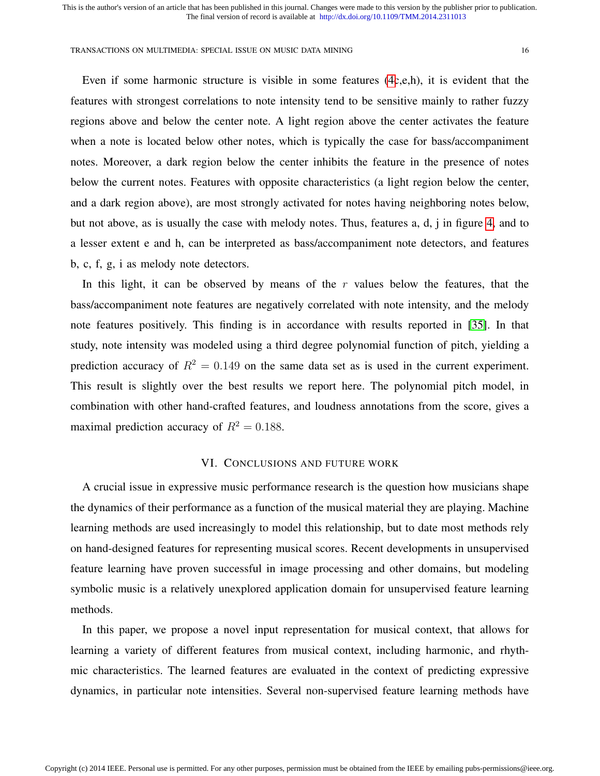Even if some harmonic structure is visible in some features (4c,e,h), it is evident that the features with strongest correlations to note intensity tend to be sensitive mainly to rather fuzzy regions above and below the center note. A light region above the center activates the feature when a note is located below other notes, which is typically the case for bass/accompaniment notes. Moreover, a dark region below the center inhibits the feature in the presence of notes below the current notes. Features with opposite characteristics (a light region below the center, and a dark region above), are most strongly activated for notes having neighboring notes below, but not above, as is usually the case with melody notes. Thus, features a, d, j in figure 4, and to a lesser extent e and h, can be interpreted as bass/accompaniment note detectors, and features b, c, f, g, i as melody note detectors.

In this light, it can be observed by means of the  $r$  values below the features, that the bass/accompaniment note features are negatively correlated with note intensity, and the melody note features positively. This finding is in accordance with results reported in [35]. In that study, note intensity was modeled using a third degree polynomial function of pitch, yielding a prediction accuracy of  $R^2 = 0.149$  on the same data set as is used in the current experiment. This result is slightly over the best results we report here. The polynomial pitch model, in combination with other hand-crafted features, and loudness annotations from the score, gives a maximal prediction accuracy of  $R^2 = 0.188$ .

# VI. CONCLUSIONS AND FUTURE WORK

A crucial issue in expressive music performance research is the question how musicians shape the dynamics of their performance as a function of the musical material they are playing. Machine learning methods are used increasingly to model this relationship, but to date most methods rely on hand-designed features for representing musical scores. Recent developments in unsupervised feature learning have proven successful in image processing and other domains, but modeling symbolic music is a relatively unexplored application domain for unsupervised feature learning methods.

In this paper, we propose a novel input representation for musical context, that allows for learning a variety of different features from musical context, including harmonic, and rhythmic characteristics. The learned features are evaluated in the context of predicting expressive dynamics, in particular note intensities. Several non-supervised feature learning methods have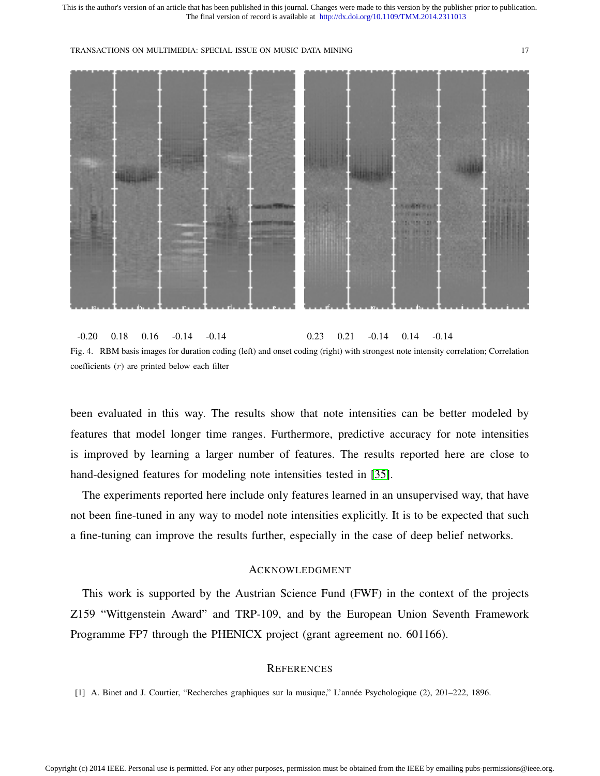

-0.20 0.18 0.16 -0.14 -0.14 0.23 0.21 -0.14 0.14 -0.14 Fig. 4. RBM basis images for duration coding (left) and onset coding (right) with strongest note intensity correlation; Correlation coefficients (r) are printed below each filter

been evaluated in this way. The results show that note intensities can be better modeled by features that model longer time ranges. Furthermore, predictive accuracy for note intensities is improved by learning a larger number of features. The results reported here are close to hand-designed features for modeling note intensities tested in [35].

The experiments reported here include only features learned in an unsupervised way, that have not been fine-tuned in any way to model note intensities explicitly. It is to be expected that such a fine-tuning can improve the results further, especially in the case of deep belief networks.

## ACKNOWLEDGMENT

This work is supported by the Austrian Science Fund (FWF) in the context of the projects Z159 "Wittgenstein Award" and TRP-109, and by the European Union Seventh Framework Programme FP7 through the PHENICX project (grant agreement no. 601166).

# **REFERENCES**

[1] A. Binet and J. Courtier, "Recherches graphiques sur la musique," L'annee Psychologique (2), 201–222, 1896. ´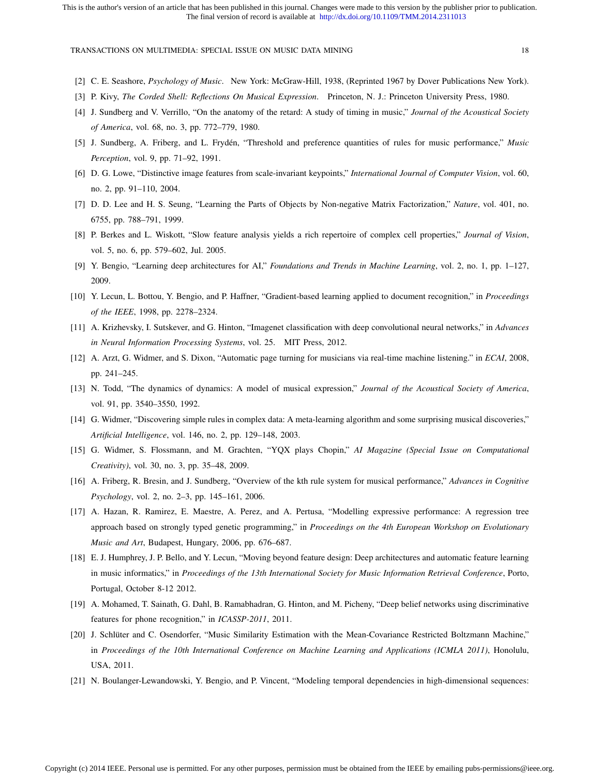- [2] C. E. Seashore, *Psychology of Music*. New York: McGraw-Hill, 1938, (Reprinted 1967 by Dover Publications New York).
- [3] P. Kivy, *The Corded Shell: Reflections On Musical Expression*. Princeton, N. J.: Princeton University Press, 1980.
- [4] J. Sundberg and V. Verrillo, "On the anatomy of the retard: A study of timing in music," *Journal of the Acoustical Society of America*, vol. 68, no. 3, pp. 772–779, 1980.
- [5] J. Sundberg, A. Friberg, and L. Fryden, "Threshold and preference quantities of rules for music performance," ´ *Music Perception*, vol. 9, pp. 71–92, 1991.
- [6] D. G. Lowe, "Distinctive image features from scale-invariant keypoints," *International Journal of Computer Vision*, vol. 60, no. 2, pp. 91–110, 2004.
- [7] D. D. Lee and H. S. Seung, "Learning the Parts of Objects by Non-negative Matrix Factorization," *Nature*, vol. 401, no. 6755, pp. 788–791, 1999.
- [8] P. Berkes and L. Wiskott, "Slow feature analysis yields a rich repertoire of complex cell properties," *Journal of Vision*, vol. 5, no. 6, pp. 579–602, Jul. 2005.
- [9] Y. Bengio, "Learning deep architectures for AI," *Foundations and Trends in Machine Learning*, vol. 2, no. 1, pp. 1–127, 2009.
- [10] Y. Lecun, L. Bottou, Y. Bengio, and P. Haffner, "Gradient-based learning applied to document recognition," in *Proceedings of the IEEE*, 1998, pp. 2278–2324.
- [11] A. Krizhevsky, I. Sutskever, and G. Hinton, "Imagenet classification with deep convolutional neural networks," in *Advances in Neural Information Processing Systems*, vol. 25. MIT Press, 2012.
- [12] A. Arzt, G. Widmer, and S. Dixon, "Automatic page turning for musicians via real-time machine listening." in *ECAI*, 2008, pp. 241–245.
- [13] N. Todd, "The dynamics of dynamics: A model of musical expression," *Journal of the Acoustical Society of America*, vol. 91, pp. 3540–3550, 1992.
- [14] G. Widmer, "Discovering simple rules in complex data: A meta-learning algorithm and some surprising musical discoveries," *Artificial Intelligence*, vol. 146, no. 2, pp. 129–148, 2003.
- [15] G. Widmer, S. Flossmann, and M. Grachten, "YQX plays Chopin," *AI Magazine (Special Issue on Computational Creativity)*, vol. 30, no. 3, pp. 35–48, 2009.
- [16] A. Friberg, R. Bresin, and J. Sundberg, "Overview of the kth rule system for musical performance," *Advances in Cognitive Psychology*, vol. 2, no. 2–3, pp. 145–161, 2006.
- [17] A. Hazan, R. Ramirez, E. Maestre, A. Perez, and A. Pertusa, "Modelling expressive performance: A regression tree approach based on strongly typed genetic programming," in *Proceedings on the 4th European Workshop on Evolutionary Music and Art*, Budapest, Hungary, 2006, pp. 676–687.
- [18] E. J. Humphrey, J. P. Bello, and Y. Lecun, "Moving beyond feature design: Deep architectures and automatic feature learning in music informatics," in *Proceedings of the 13th International Society for Music Information Retrieval Conference*, Porto, Portugal, October 8-12 2012.
- [19] A. Mohamed, T. Sainath, G. Dahl, B. Ramabhadran, G. Hinton, and M. Picheny, "Deep belief networks using discriminative features for phone recognition," in *ICASSP-2011*, 2011.
- [20] J. Schlüter and C. Osendorfer, "Music Similarity Estimation with the Mean-Covariance Restricted Boltzmann Machine," in *Proceedings of the 10th International Conference on Machine Learning and Applications (ICMLA 2011)*, Honolulu, USA, 2011.
- [21] N. Boulanger-Lewandowski, Y. Bengio, and P. Vincent, "Modeling temporal dependencies in high-dimensional sequences: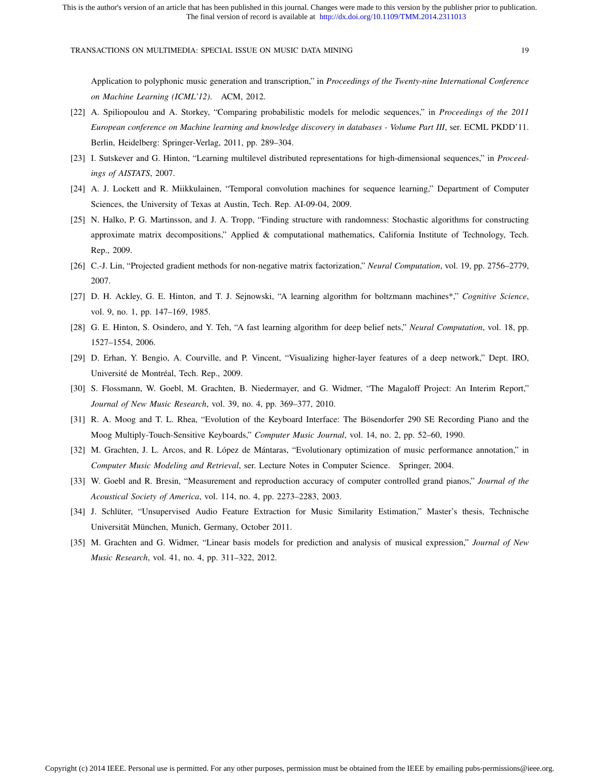Application to polyphonic music generation and transcription," in *Proceedings of the Twenty-nine International Conference on Machine Learning (ICML'12)*. ACM, 2012.

- [22] A. Spiliopoulou and A. Storkey, "Comparing probabilistic models for melodic sequences," in *Proceedings of the 2011 European conference on Machine learning and knowledge discovery in databases - Volume Part III*, ser. ECML PKDD'11. Berlin, Heidelberg: Springer-Verlag, 2011, pp. 289–304.
- [23] I. Sutskever and G. Hinton, "Learning multilevel distributed representations for high-dimensional sequences," in *Proceedings of AISTATS*, 2007.
- [24] A. J. Lockett and R. Miikkulainen, "Temporal convolution machines for sequence learning," Department of Computer Sciences, the University of Texas at Austin, Tech. Rep. AI-09-04, 2009.
- [25] N. Halko, P. G. Martinsson, and J. A. Tropp, "Finding structure with randomness: Stochastic algorithms for constructing approximate matrix decompositions," Applied & computational mathematics, California Institute of Technology, Tech. Rep., 2009.
- [26] C.-J. Lin, "Projected gradient methods for non-negative matrix factorization," *Neural Computation*, vol. 19, pp. 2756–2779, 2007.
- [27] D. H. Ackley, G. E. Hinton, and T. J. Sejnowski, "A learning algorithm for boltzmann machines\*," *Cognitive Science*, vol. 9, no. 1, pp. 147–169, 1985.
- [28] G. E. Hinton, S. Osindero, and Y. Teh, "A fast learning algorithm for deep belief nets," *Neural Computation*, vol. 18, pp. 1527–1554, 2006.
- [29] D. Erhan, Y. Bengio, A. Courville, and P. Vincent, "Visualizing higher-layer features of a deep network," Dept. IRO, Université de Montréal, Tech. Rep., 2009.
- [30] S. Flossmann, W. Goebl, M. Grachten, B. Niedermayer, and G. Widmer, "The Magaloff Project: An Interim Report," *Journal of New Music Research*, vol. 39, no. 4, pp. 369–377, 2010.
- [31] R. A. Moog and T. L. Rhea, "Evolution of the Keyboard Interface: The Bösendorfer 290 SE Recording Piano and the Moog Multiply-Touch-Sensitive Keyboards," *Computer Music Journal*, vol. 14, no. 2, pp. 52–60, 1990.
- [32] M. Grachten, J. L. Arcos, and R. López de Mántaras, "Evolutionary optimization of music performance annotation," in *Computer Music Modeling and Retrieval*, ser. Lecture Notes in Computer Science. Springer, 2004.
- [33] W. Goebl and R. Bresin, "Measurement and reproduction accuracy of computer controlled grand pianos," *Journal of the Acoustical Society of America*, vol. 114, no. 4, pp. 2273–2283, 2003.
- [34] J. Schlüter, "Unsupervised Audio Feature Extraction for Music Similarity Estimation," Master's thesis, Technische Universität München, Munich, Germany, October 2011.
- [35] M. Grachten and G. Widmer, "Linear basis models for prediction and analysis of musical expression," *Journal of New Music Research*, vol. 41, no. 4, pp. 311–322, 2012.